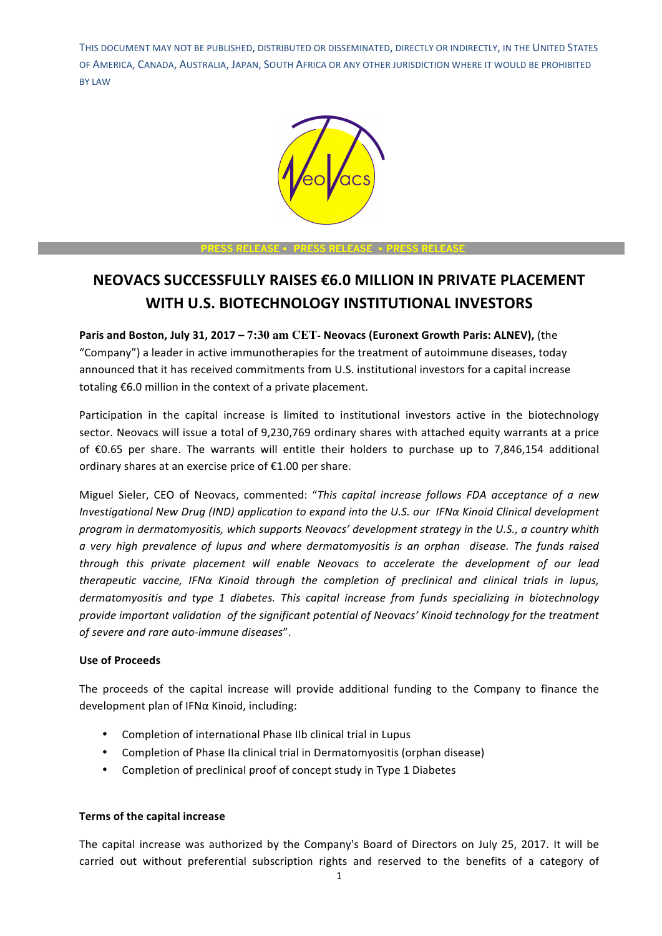

#### **PRESS RELEASE** • **PRESS RELEASE** • **PRESS RELEASE**

# **NEOVACS SUCCESSFULLY RAISES €6.0 MILLION IN PRIVATE PLACEMENT WITH U.S. BIOTECHNOLOGY INSTITUTIONAL INVESTORS**

**Paris and Boston, July 31, 2017 – 7:30 am CET- Neovacs (Euronext Growth Paris: ALNEV), (the** "Company") a leader in active immunotherapies for the treatment of autoimmune diseases, today announced that it has received commitments from U.S. institutional investors for a capital increase totaling  $£6.0$  million in the context of a private placement.

Participation in the capital increase is limited to institutional investors active in the biotechnology sector. Neovacs will issue a total of 9,230,769 ordinary shares with attached equity warrants at a price of  $\epsilon$ 0.65 per share. The warrants will entitle their holders to purchase up to 7,846,154 additional ordinary shares at an exercise price of  $£1.00$  per share.

Miguel Sieler, CEO of Neovacs, commented: "This capital increase follows FDA acceptance of a new *Investigational New Drug (IND) application to expand into the U.S. our IFNα Kinoid Clinical development program* in dermatomyositis, which supports Neovacs' development strategy in the U.S., a country whith *a very high prevalence of lupus and where dermatomyositis is an orphan disease. The funds raised through this private placement will enable Neovacs to accelerate the development of our lead therapeutic vaccine, IFNα Kinoid through the completion of preclinical and clinical trials in lupus,* dermatomyositis and type 1 diabetes. This capital increase from funds specializing in biotechnology provide important validation of the significant potential of Neovacs' Kinoid technology for the treatment of severe and rare auto-immune diseases".

#### **Use of Proceeds**

The proceeds of the capital increase will provide additional funding to the Company to finance the development plan of IFNa Kinoid, including:

- Completion of international Phase IIb clinical trial in Lupus
- Completion of Phase IIa clinical trial in Dermatomyositis (orphan disease)
- Completion of preclinical proof of concept study in Type 1 Diabetes

#### **Terms of the capital increase**

The capital increase was authorized by the Company's Board of Directors on July 25, 2017. It will be carried out without preferential subscription rights and reserved to the benefits of a category of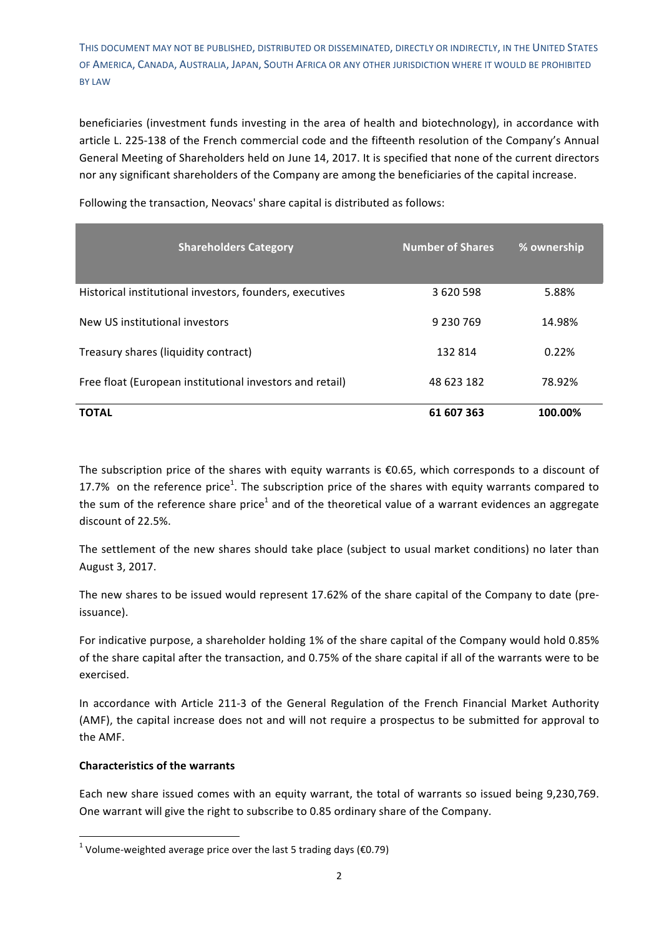beneficiaries (investment funds investing in the area of health and biotechnology), in accordance with article L. 225-138 of the French commercial code and the fifteenth resolution of the Company's Annual General Meeting of Shareholders held on June 14, 2017. It is specified that none of the current directors nor any significant shareholders of the Company are among the beneficiaries of the capital increase.

| <b>Shareholders Category</b>                             | <b>Number of Shares</b> | % ownership |
|----------------------------------------------------------|-------------------------|-------------|
| Historical institutional investors, founders, executives | 3 620 598               | 5.88%       |
| New US institutional investors                           | 9 230 769               | 14.98%      |
| Treasury shares (liquidity contract)                     | 132 814                 | 0.22%       |
| Free float (European institutional investors and retail) | 48 623 182              | 78.92%      |
| <b>TOTAL</b>                                             | 61 607 363              | 100.00%     |

Following the transaction, Neovacs' share capital is distributed as follows:

The subscription price of the shares with equity warrants is  $€0.65$ , which corresponds to a discount of 17.7% on the reference price<sup>1</sup>. The subscription price of the shares with equity warrants compared to the sum of the reference share price<sup>1</sup> and of the theoretical value of a warrant evidences an aggregate discount of 22.5%.

The settlement of the new shares should take place (subject to usual market conditions) no later than August 3, 2017.

The new shares to be issued would represent 17.62% of the share capital of the Company to date (preissuance). 

For indicative purpose, a shareholder holding 1% of the share capital of the Company would hold 0.85% of the share capital after the transaction, and 0.75% of the share capital if all of the warrants were to be exercised. 

In accordance with Article 211-3 of the General Regulation of the French Financial Market Authority (AMF), the capital increase does not and will not require a prospectus to be submitted for approval to the AMF.

## **Characteristics of the warrants**

<u> 1989 - Johann Stein, marwolaethau a bh</u>

Each new share issued comes with an equity warrant, the total of warrants so issued being 9,230,769. One warrant will give the right to subscribe to 0.85 ordinary share of the Company.

<sup>&</sup>lt;sup>1</sup> Volume-weighted average price over the last 5 trading days ( $\epsilon$ 0.79)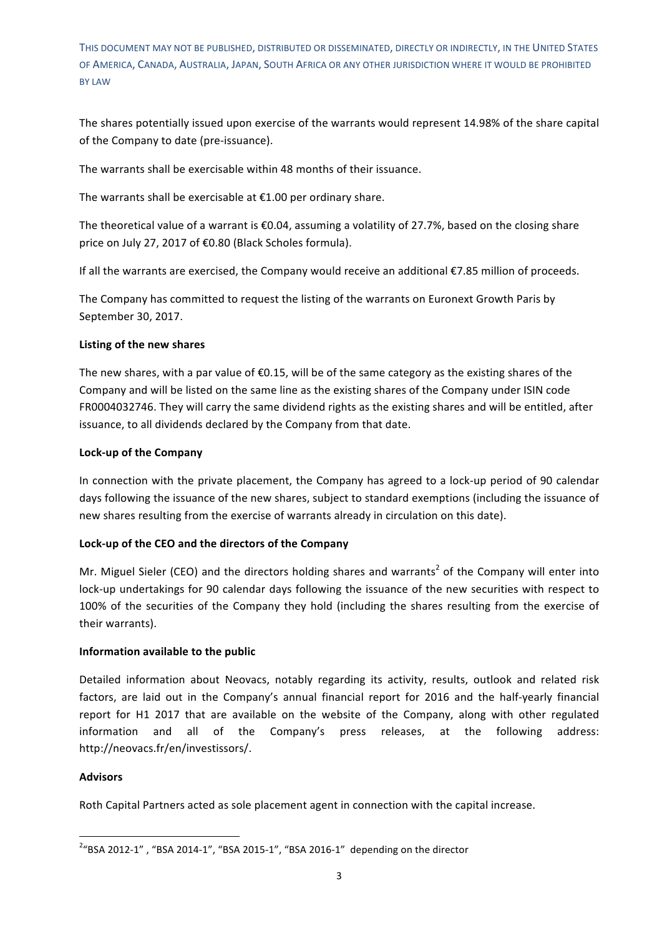The shares potentially issued upon exercise of the warrants would represent 14.98% of the share capital of the Company to date (pre-issuance).

The warrants shall be exercisable within 48 months of their issuance.

The warrants shall be exercisable at  $£1.00$  per ordinary share.

The theoretical value of a warrant is  $€0.04$ , assuming a volatility of 27.7%, based on the closing share price on July 27, 2017 of €0.80 (Black Scholes formula).

If all the warrants are exercised, the Company would receive an additional €7.85 million of proceeds.

The Company has committed to request the listing of the warrants on Euronext Growth Paris by September 30, 2017.

## Listing of the new shares

The new shares, with a par value of  $\epsilon$ 0.15, will be of the same category as the existing shares of the Company and will be listed on the same line as the existing shares of the Company under ISIN code FR0004032746. They will carry the same dividend rights as the existing shares and will be entitled, after issuance, to all dividends declared by the Company from that date.

## **Lock-up of the Company**

In connection with the private placement, the Company has agreed to a lock-up period of 90 calendar days following the issuance of the new shares, subject to standard exemptions (including the issuance of new shares resulting from the exercise of warrants already in circulation on this date).

#### Lock-up of the CEO and the directors of the Company

Mr. Miguel Sieler (CEO) and the directors holding shares and warrants<sup>2</sup> of the Company will enter into lock-up undertakings for 90 calendar days following the issuance of the new securities with respect to 100% of the securities of the Company they hold (including the shares resulting from the exercise of their warrants).

#### **Information available to the public**

<u> 1989 - Johann Stein, marwolaethau a bh</u>

Detailed information about Neovacs, notably regarding its activity, results, outlook and related risk factors, are laid out in the Company's annual financial report for 2016 and the half-yearly financial report for H1 2017 that are available on the website of the Company, along with other regulated information and all of the Company's press releases, at the following address: http://neovacs.fr/en/investissors/.

#### **Advisors**

Roth Capital Partners acted as sole placement agent in connection with the capital increase.

 $^{2}$ "BSA 2012-1" , "BSA 2014-1", "BSA 2015-1", "BSA 2016-1" depending on the director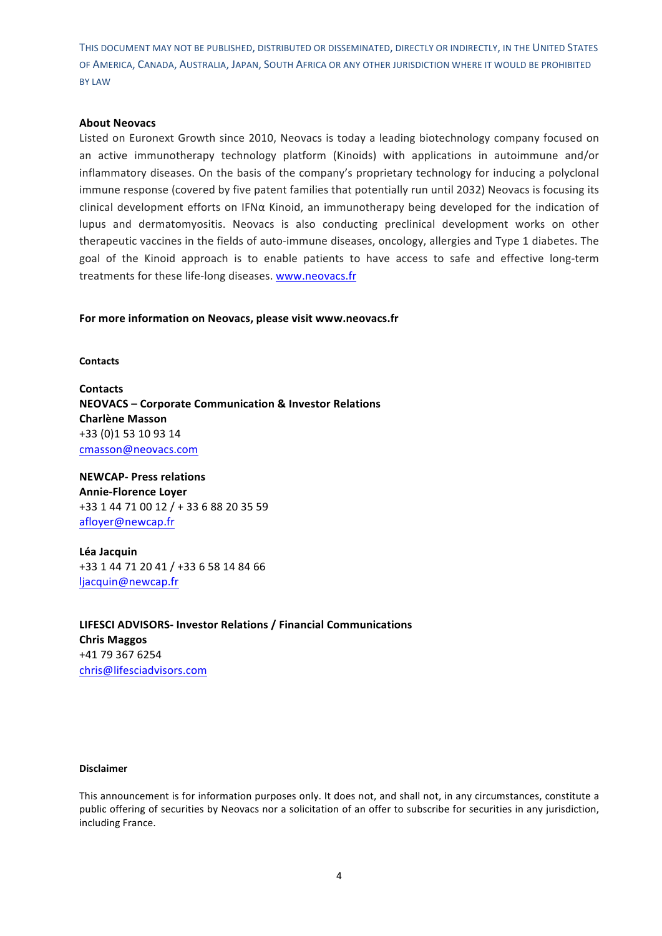#### **About Neovacs**

Listed on Euronext Growth since 2010, Neovacs is today a leading biotechnology company focused on an active immunotherapy technology platform (Kinoids) with applications in autoimmune and/or inflammatory diseases. On the basis of the company's proprietary technology for inducing a polyclonal immune response (covered by five patent families that potentially run until 2032) Neovacs is focusing its clinical development efforts on IFNα Kinoid, an immunotherapy being developed for the indication of lupus and dermatomyositis. Neovacs is also conducting preclinical development works on other therapeutic vaccines in the fields of auto-immune diseases, oncology, allergies and Type 1 diabetes. The goal of the Kinoid approach is to enable patients to have access to safe and effective long-term treatments for these life-long diseases. www.neovacs.fr

For more information on Neovacs, please visit www.neovacs.fr

**Contacts** 

**Contacts NEOVACS – Corporate Communication & Investor Relations Charlène Masson** +33 (0)1 53 10 93 14 cmasson@neovacs.com

**NEWCAP-** Press relations **Annie-Florence Lover** +33 1 44 71 00 12 / + 33 6 88 20 35 59 afloyer@newcap.fr

**Léa Jacquin**  +33 1 44 71 20 41 / +33 6 58 14 84 66 ljacquin@newcap.fr

**LIFESCI ADVISORS-** Investor Relations / Financial Communications **Chris Maggos**  +41 79 367 6254 chris@lifesciadvisors.com

#### **Disclaimer**

This announcement is for information purposes only. It does not, and shall not, in any circumstances, constitute a public offering of securities by Neovacs nor a solicitation of an offer to subscribe for securities in any jurisdiction, including France.